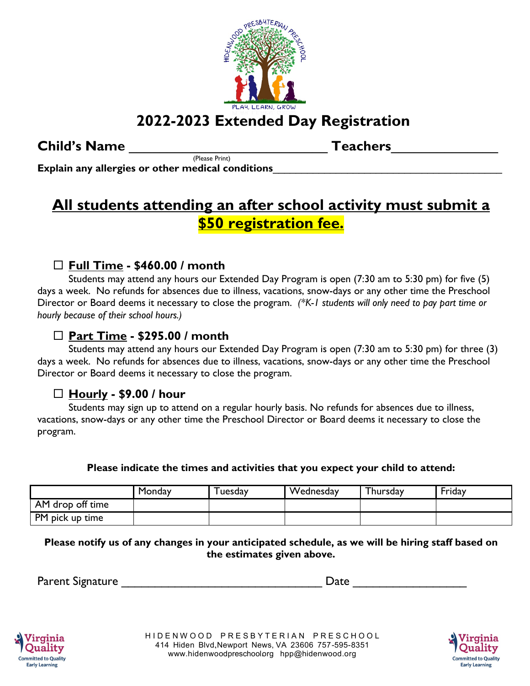

# **2022-2023 Extended Day Registration**

### **Child's Name** \_\_\_\_\_\_\_\_\_\_\_\_\_\_\_\_\_\_\_\_\_\_\_\_\_\_ **Teachers**\_\_\_\_\_\_\_\_\_\_\_\_\_\_

(Please Print) **Explain any allergies or other medical conditions**\_\_\_\_\_\_\_\_\_\_\_\_\_\_\_\_\_\_\_\_\_\_\_\_\_\_\_\_\_\_\_\_\_\_\_\_\_\_\_\_

## **All students attending an after school activity must submit a \$50 registration fee.**

### **Full Time - \$460.00 / month**

Students may attend any hours our Extended Day Program is open (7:30 am to 5:30 pm) for five (5) days a week. No refunds for absences due to illness, vacations, snow-days or any other time the Preschool Director or Board deems it necessary to close the program. *(\*K-1 students will only need to pay part time or hourly because of their school hours.)*

#### **Part Time - \$295.00 / month**

Students may attend any hours our Extended Day Program is open (7:30 am to 5:30 pm) for three (3) days a week. No refunds for absences due to illness, vacations, snow-days or any other time the Preschool Director or Board deems it necessary to close the program.

#### **Hourly - \$9.00 / hour**

Students may sign up to attend on a regular hourly basis. No refunds for absences due to illness, vacations, snow-days or any other time the Preschool Director or Board deems it necessary to close the program.

**Please indicate the times and activities that you expect your child to attend:**

|                  | Monday | uesday | Wednesday | Thursday | Friday |
|------------------|--------|--------|-----------|----------|--------|
| AM drop off time |        |        |           |          |        |
| PM pick up time  |        |        |           |          |        |

**Please notify us of any changes in your anticipated schedule, as we will be hiring staff based on the estimates given above.**

| <b>Parent Signature</b> | Jate |  |
|-------------------------|------|--|
|                         |      |  |